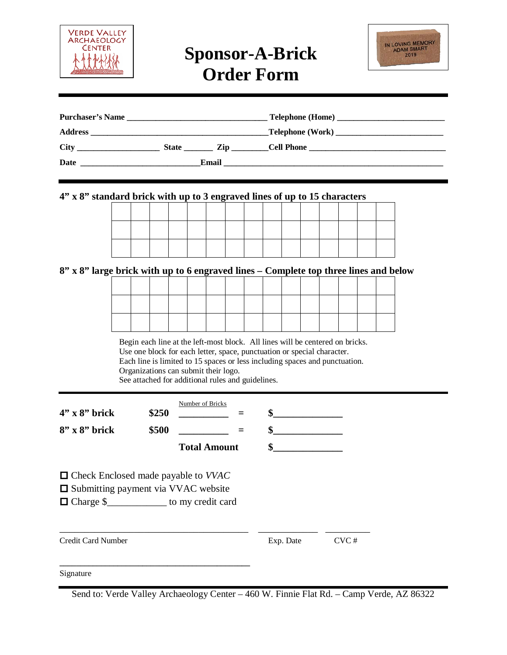

## **Sponsor-A-Brick Order Form**



| Purchaser's Name |              |                                                                                                                |            |  |
|------------------|--------------|----------------------------------------------------------------------------------------------------------------|------------|--|
|                  |              |                                                                                                                |            |  |
|                  | <b>State</b> | Zip and the set of the set of the set of the set of the set of the set of the set of the set of the set of the | Cell Phone |  |
| Date             |              | Email                                                                                                          |            |  |

#### **4" x 8" standard brick with up to 3 engraved lines of up to 15 characters**

#### **8" x 8" large brick with up to 6 engraved lines – Complete top three lines and below**

Begin each line at the left-most block. All lines will be centered on bricks. Use one block for each letter, space, punctuation or special character. Each line is limited to 15 spaces or less including spaces and punctuation. Organizations can submit their logo. See attached for additional rules and guidelines.

| $4"$ x $8"$ brick<br>$8''$ x $8''$ brick                                                                                                       | \$250<br>\$500 | Number of Bricks<br><b>Total Amount</b> | $=$ | \$<br>\$<br>\$ |      |  |
|------------------------------------------------------------------------------------------------------------------------------------------------|----------------|-----------------------------------------|-----|----------------|------|--|
| $\Box$ Check Enclosed made payable to <i>VVAC</i><br>$\Box$ Submitting payment via VVAC website<br>□ Charge \$______________ to my credit card |                |                                         |     |                |      |  |
| <b>Credit Card Number</b>                                                                                                                      |                |                                         |     | Exp. Date      | CVC# |  |
| Signature                                                                                                                                      |                |                                         |     |                |      |  |

Send to: Verde Valley Archaeology Center – 460 W. Finnie Flat Rd. – Camp Verde, AZ 86322